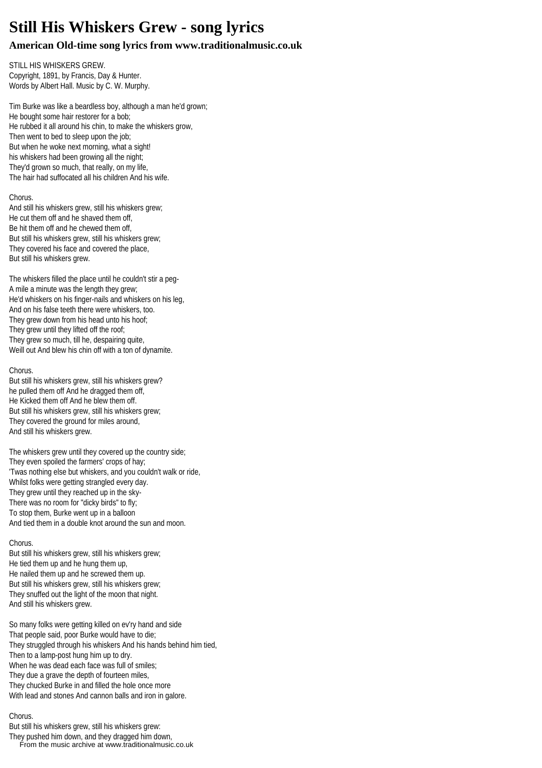# **Still His Whiskers Grew - song lyrics**

# **American Old-time song lyrics from www.traditionalmusic.co.uk**

STILL HIS WHISKERS GREW. Copyright, 1891, by Francis, Day & Hunter. Words by Albert Hall. Music by C. W. Murphy.

Tim Burke was like a beardless boy, although a man he'd grown; He bought some hair restorer for a bob; He rubbed it all around his chin, to make the whiskers grow, Then went to bed to sleep upon the job; But when he woke next morning, what a sight! his whiskers had been growing all the night; They'd grown so much, that really, on my life, The hair had suffocated all his children And his wife.

### Chorus.

And still his whiskers grew, still his whiskers grew; He cut them off and he shaved them off, Be hit them off and he chewed them off, But still his whiskers grew, still his whiskers grew; They covered his face and covered the place, But still his whiskers grew.

The whiskers filled the place until he couldn't stir a peg-A mile a minute was the length they grew; He'd whiskers on his finger-nails and whiskers on his leg, And on his false teeth there were whiskers, too. They grew down from his head unto his hoof; They grew until they lifted off the roof; They grew so much, till he, despairing quite, Weill out And blew his chin off with a ton of dynamite.

#### Chorus.

But still his whiskers grew, still his whiskers grew? he pulled them off And he dragged them off, He Kicked them off And he blew them off. But still his whiskers grew, still his whiskers grew; They covered the ground for miles around, And still his whiskers grew.

The whiskers grew until they covered up the country side; They even spoiled the farmers' crops of hay; 'Twas nothing else but whiskers, and you couldn't walk or ride, Whilst folks were getting strangled every day. They grew until they reached up in the sky-There was no room for "dicky birds" to fly; To stop them, Burke went up in a balloon And tied them in a double knot around the sun and moon.

## Chorus.

But still his whiskers grew, still his whiskers grew; He tied them up and he hung them up, He nailed them up and he screwed them up. But still his whiskers grew, still his whiskers grew; They snuffed out the light of the moon that night. And still his whiskers grew.

So many folks were getting killed on ev'ry hand and side That people said, poor Burke would have to die; They struggled through his whiskers And his hands behind him tied, Then to a lamp-post hung him up to dry. When he was dead each face was full of smiles; They due a grave the depth of fourteen miles, They chucked Burke in and filled the hole once more With lead and stones And cannon balls and iron in galore.

#### Chorus.

But still his whiskers grew, still his whiskers grew:

They pushed him down, and they dragged him down, From the music archive at www.traditionalmusic.co.uk